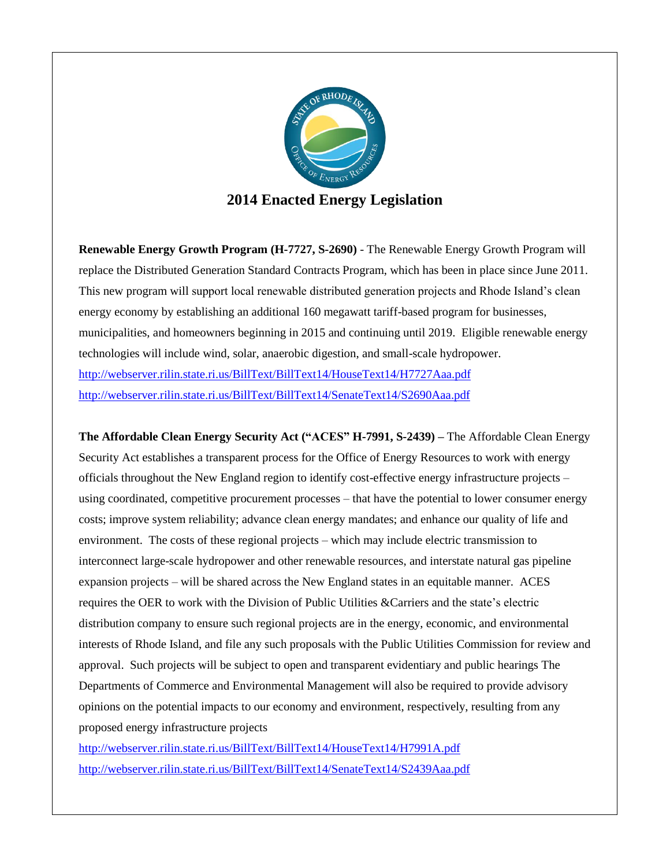

**Renewable Energy Growth Program (H-7727, S-2690)** - The Renewable Energy Growth Program will replace the Distributed Generation Standard Contracts Program, which has been in place since June 2011. This new program will support local renewable distributed generation projects and Rhode Island's clean energy economy by establishing an additional 160 megawatt tariff-based program for businesses, municipalities, and homeowners beginning in 2015 and continuing until 2019. Eligible renewable energy technologies will include wind, solar, anaerobic digestion, and small-scale hydropower. <http://webserver.rilin.state.ri.us/BillText/BillText14/HouseText14/H7727Aaa.pdf> <http://webserver.rilin.state.ri.us/BillText/BillText14/SenateText14/S2690Aaa.pdf>

**The Affordable Clean Energy Security Act ("ACES" H-7991, S-2439) –** The Affordable Clean Energy Security Act establishes a transparent process for the Office of Energy Resources to work with energy officials throughout the New England region to identify cost-effective energy infrastructure projects – using coordinated, competitive procurement processes – that have the potential to lower consumer energy costs; improve system reliability; advance clean energy mandates; and enhance our quality of life and environment. The costs of these regional projects – which may include electric transmission to interconnect large-scale hydropower and other renewable resources, and interstate natural gas pipeline expansion projects – will be shared across the New England states in an equitable manner. ACES requires the OER to work with the Division of Public Utilities &Carriers and the state's electric distribution company to ensure such regional projects are in the energy, economic, and environmental interests of Rhode Island, and file any such proposals with the Public Utilities Commission for review and approval. Such projects will be subject to open and transparent evidentiary and public hearings The Departments of Commerce and Environmental Management will also be required to provide advisory opinions on the potential impacts to our economy and environment, respectively, resulting from any proposed energy infrastructure projects

<http://webserver.rilin.state.ri.us/BillText/BillText14/HouseText14/H7991A.pdf> <http://webserver.rilin.state.ri.us/BillText/BillText14/SenateText14/S2439Aaa.pdf>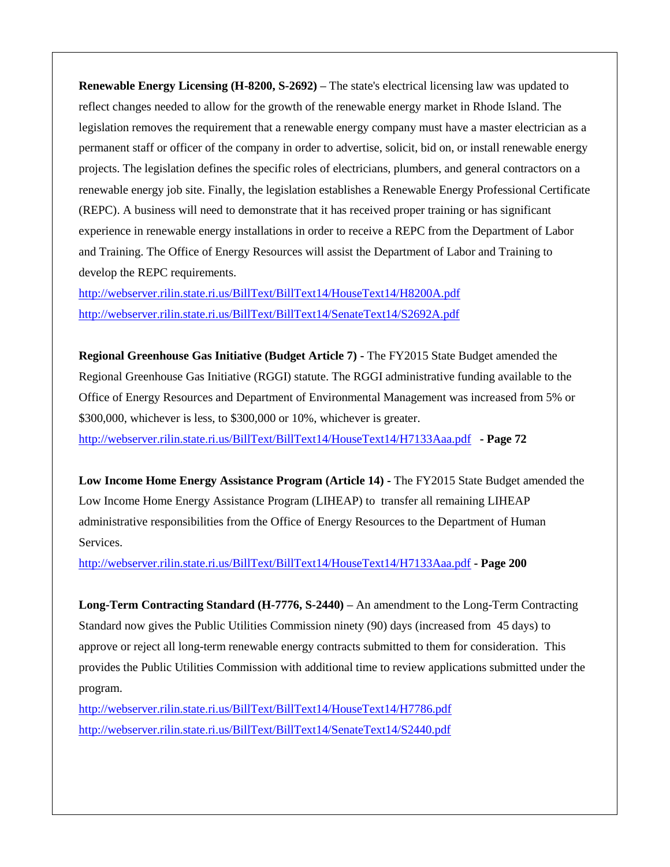**Renewable Energy Licensing (H-8200, S-2692) –** The state's electrical licensing law was updated to reflect changes needed to allow for the growth of the renewable energy market in Rhode Island. The legislation removes the requirement that a renewable energy company must have a master electrician as a permanent staff or officer of the company in order to advertise, solicit, bid on, or install renewable energy projects. The legislation defines the specific roles of electricians, plumbers, and general contractors on a renewable energy job site. Finally, the legislation establishes a Renewable Energy Professional Certificate (REPC). A business will need to demonstrate that it has received proper training or has significant experience in renewable energy installations in order to receive a REPC from the Department of Labor and Training. The Office of Energy Resources will assist the Department of Labor and Training to develop the REPC requirements.

<http://webserver.rilin.state.ri.us/BillText/BillText14/HouseText14/H8200A.pdf> <http://webserver.rilin.state.ri.us/BillText/BillText14/SenateText14/S2692A.pdf>

**Regional Greenhouse Gas Initiative (Budget Article 7) -** The FY2015 State Budget amended the Regional Greenhouse Gas Initiative (RGGI) statute. The RGGI administrative funding available to the Office of Energy Resources and Department of Environmental Management was increased from 5% or \$300,000, whichever is less, to \$300,000 or 10%, whichever is greater. <http://webserver.rilin.state.ri.us/BillText/BillText14/HouseText14/H7133Aaa.pdf> **- Page 72**

**Low Income Home Energy Assistance Program (Article 14) -** The FY2015 State Budget amended the Low Income Home Energy Assistance Program (LIHEAP) to transfer all remaining LIHEAP administrative responsibilities from the Office of Energy Resources to the Department of Human Services.

<http://webserver.rilin.state.ri.us/BillText/BillText14/HouseText14/H7133Aaa.pdf> **- Page 200**

**Long-Term Contracting Standard (H-7776, S-2440) –** An amendment to the Long-Term Contracting Standard now gives the Public Utilities Commission ninety (90) days (increased from 45 days) to approve or reject all long-term renewable energy contracts submitted to them for consideration. This provides the Public Utilities Commission with additional time to review applications submitted under the program.

<http://webserver.rilin.state.ri.us/BillText/BillText14/HouseText14/H7786.pdf> <http://webserver.rilin.state.ri.us/BillText/BillText14/SenateText14/S2440.pdf>